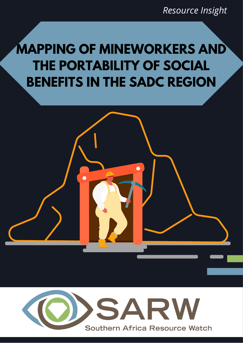*Resource Insight*

# **MAPPING OF MINEWORKERS AND THE PORTABILITY OF SOCIAL BENEFITS IN THE SADC REGION**

 $\bullet$ 

 $\overline{\phantom{a}}$ 

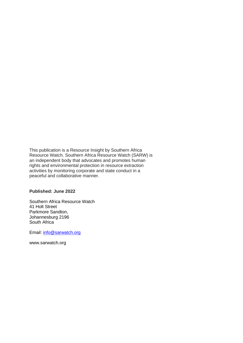This publication is a Resource Insight by Southern Africa Resource Watch. Southern Africa Resource Watch (SARW) is an independent body that advocates and promotes human rights and environmental protection in resource extraction activities by monitoring corporate and state conduct in a peaceful and collaborative manner.

#### **Published: June 2022**

Southern Africa Resource Watch 41 Holt Street Parkmore Sandton, Johannesburg 2196 South Africa

Email: [info@sarwatch.org](mailto:info@sarwatch.org)

www.sarwatch.org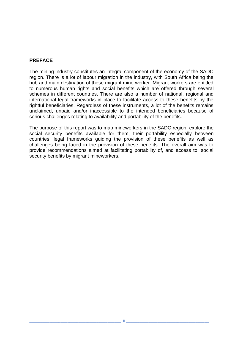#### **PREFACE**

The mining industry constitutes an integral component of the economy of the SADC region. There is a lot of labour migration in the industry, with South Africa being the hub and main destination of these migrant mine worker. Migrant workers are entitled to numerous human rights and social benefits which are offered through several schemes in different countries. There are also a number of national, regional and international legal frameworks in place to facilitate access to these benefits by the rightful beneficiaries. Regardless of these instruments, a lot of the benefits remains unclaimed, unpaid and/or inaccessible to the intended beneficiaries because of serious challenges relating to availability and portability of the benefits.

The purpose of this report was to map mineworkers in the SADC region, explore the social security benefits available for them, their portability especially between countries, legal frameworks guiding the provision of these benefits as well as challenges being faced in the provision of these benefits. The overall aim was to provide recommendations aimed at facilitating portability of, and access to, social security benefits by migrant mineworkers.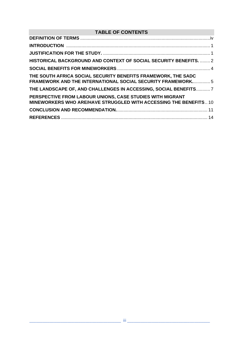## **TABLE OF CONTENTS**

| HISTORICAL BACKGROUND AND CONTEXT OF SOCIAL SECURITY BENEFITS.  2                                                                   |  |
|-------------------------------------------------------------------------------------------------------------------------------------|--|
|                                                                                                                                     |  |
| THE SOUTH AFRICA SOCIAL SECURITY BENEFITS FRAMEWORK, THE SADC<br><b>FRAMEWORK AND THE INTERNATIONAL SOCIAL SECURITY FRAMEWORK 5</b> |  |
| THE LANDSCAPE OF, AND CHALLENGES IN ACCESSING, SOCIAL BENEFITS 7                                                                    |  |
| PERSPECTIVE FROM LABOUR UNIONS, CASE STUDIES WITH MIGRANT<br>MINEWORKERS WHO ARE/HAVE STRUGGLED WITH ACCESSING THE BENEFITS 10      |  |
|                                                                                                                                     |  |
|                                                                                                                                     |  |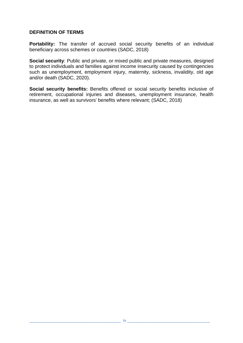#### <span id="page-4-0"></span>**DEFINITION OF TERMS**

**Portability:** The transfer of accrued social security benefits of an individual beneficiary across schemes or countries (SADC, 2018)

**Social security**: Public and private, or mixed public and private measures, designed to protect individuals and families against income insecurity caused by contingencies such as unemployment, employment injury, maternity, sickness, invalidity, old age and/or death (SADC, 2020).

**Social security benefits:** Benefits offered or social security benefits inclusive of retirement, occupational injuries and diseases, unemployment insurance, health insurance, as well as survivors' benefits where relevant; (SADC, 2018)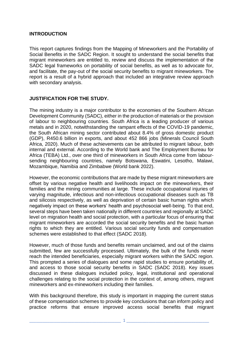#### <span id="page-5-0"></span>**INTRODUCTION**

This report captures findings from the Mapping of Mineworkers and the Portability of Social Benefits in the SADC Region. It sought to understand the social benefits that migrant mineworkers are entitled to, review and discuss the implementation of the SADC legal frameworks on portability of social benefits, as well as to advocate for, and facilitate, the pay-out of the social security benefits to migrant mineworkers. The report is a result of a hybrid approach that included an integrative review approach with secondary analysis.

#### <span id="page-5-1"></span>**JUSTIFICATION FOR THE STUDY.**

The mining industry is a major contributor to the economies of the Southern African Development Community (SADC), either in the production of materials or the provision of labour to neighbouring countries. South Africa is a leading producer of various metals and in 2020, notwithstanding the rampant effects of the COVID-19 pandemic, the South African mining sector contributed about 8.4% of gross domestic product (GDP), R450.6 billion in exports, and about 452 866 jobs (Minerals Council South Africa, 2020). Much of these achievements can be attributed to migrant labour, both internal and external. According to the World bank and The Employment Bureau for Africa (TEBA) Ltd., over one third of mineworkers in South Africa come from laboursending neighbouring countries, namely Botswana, Eswatini, Lesotho, Malawi, Mozambique, Namibia and Zimbabwe (World bank 2022).

However, the economic contributions that are made by these migrant mineworkers are offset by various negative health and livelihoods impact on the mineworkers, their families and the mining communities at large. These include occupational injuries of varying magnitude, infectious and non-infectious occupational diseases such as TB and silicosis respectively, as well as deprivation of certain basic human rights which negatively impact on these workers' health and psychosocial well-being. To that end, several steps have been taken nationally in different countries and regionally at SADC level on migration health and social protection, with a particular focus of ensuring that migrant mineworkers are accorded the social security benefits and the basic human rights to which they are entitled. Various social security funds and compensation schemes were established to that effect (SADC 2018).

However, much of those funds and benefits remain unclaimed, and out of the claims submitted, few are successfully processed. Ultimately, the bulk of the funds never reach the intended beneficiaries, especially migrant workers within the SADC region. This prompted a series of dialogues and some rapid studies to ensure portability of, and access to those social security benefits in SADC (SADC 2018). Key issues discussed in these dialogues included policy, legal, institutional and operational challenges relating to the social protection in the context of, among others, migrant mineworkers and ex-mineworkers including their families.

With this background therefore, this study is important in mapping the current status of these compensation schemes to provide key conclusions that can inform policy and practice reforms that ensure improved access social benefits that migrant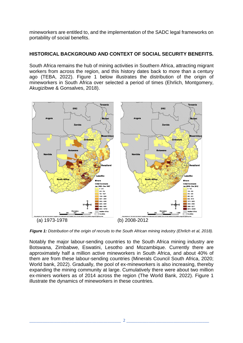mineworkers are entitled to, and the implementation of the SADC legal frameworks on portability of social benefits.

#### <span id="page-6-0"></span>**HISTORICAL BACKGROUND AND CONTEXT OF SOCIAL SECURITY BENEFITS.**

South Africa remains the hub of mining activities in Southern Africa, attracting migrant workers from across the region, and this history dates back to more than a century ago (TEBA, 2022). Figure 1 below illustrates the distribution of the origin of mineworkers in South Africa over selected a period of times (Ehrlich, Montgomery, Akugizibwe & Gonsalves, 2018).



*Figure 1: Distribution of the origin of recruits to the South African mining industry (Ehrlich et al, 2018).*

Notably the major labour-sending countries to the South Africa mining industry are Botswana, Zimbabwe, Eswatini, Lesotho and Mozambique. Currently there are approximately half a million active mineworkers in South Africa, and about 40% of them are from these labour-sending countries (Minerals Council South Africa, 2020; World bank, 2022). Gradually, the pool of ex-mineworkers is also increasing, thereby expanding the mining community at large. Cumulatively there were about two million ex-miners workers as of 2014 across the region (The World Bank, 2022). Figure 1 illustrate the dynamics of mineworkers in these countries.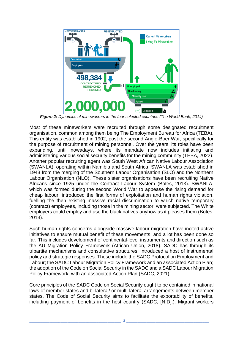

*Figure 2: Dynamics of mineworkers in the four selected countries (The World Bank, 2014)*

Most of these mineworkers were recruited through some designated recruitment organisation, common among them being The Employment Bureau for Africa (TEBA). This entity was established in 1902, post the second Anglo-Boer War, specifically for the purpose of recruitment of mining personnel. Over the years, its roles have been expanding, until nowadays, where its mandate now includes initiating and administering various social security benefits for the mining community (TEBA, 2022). Another popular recruiting agent was South West African Native Labour Association (SWANLA), operating within Namibia and South Africa. SWANLA was established in 1943 from the merging of the Southern Labour Organisation (SLO) and the Northern Labour Organisation (NLO). These sister organisations have been recruiting Native Africans since 1925 under the Contract Labour System (Botes, 2013). SWANLA, which was formed during the second World War to appease the rising demand for cheap labour, introduced the first forms of exploitation and human rights violation, fuelling the then existing massive racial discrimination to which native temporary (contract) employees, including those in the mining sector, were subjected. The White employers could employ and use the black natives anyhow as it pleases them (Botes, 2013).

Such human rights concerns alongside massive labour migration have incited active initiatives to ensure mutual benefit of these movements, and a lot has been done so far. This includes development of continental-level instruments and direction such as the AU Migration Policy Framework (African Union, 2018). SADC has through its tripartite mechanisms and consultative structures, introduced a host of instrumental policy and strategic responses. These include the SADC Protocol on Employment and Labour; the SADC Labour Migration Policy Framework and an associated Action Plan; the adoption of the Code on Social Security in the SADC and a SADC Labour Migration Policy Framework, with an associated Action Plan (SADC, 2021).

Core principles of the SADC Code on Social Security ought to be contained in national laws of member states and bi-lateral/ or multi-lateral arrangements between member states. The Code of Social Security aims to facilitate the exportability of benefits, including payment of benefits in the host country (SADC, [N.D].). Migrant workers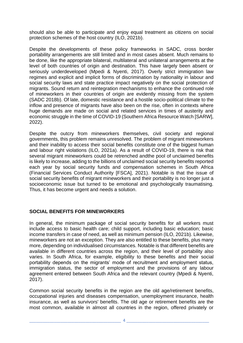should also be able to participate and enjoy equal treatment as citizens on social protection schemes of the host country (ILO, 2021b).

Despite the developments of these policy frameworks in SADC, cross border portability arrangements are still limited and in most cases absent. Much remains to be done, like the appropriate bilateral, multilateral and unilateral arrangements at the level of both countries of origin and destination. This have largely been absent or seriously underdeveloped (Mpedi & Nyenti, 2017). Overly strict immigration law regimes and explicit and implicit forms of discrimination by nationality in labour and social security laws and state practice impact negatively on the social protection of migrants. Sound return and reintegration mechanisms to enhance the continued role of mineworkers in their countries of origin are evidently missing from the system (SADC 2018b). Of late, domestic resistance and a hostile socio-political climate to the inflow and presence of migrants have also been on the rise, often in contexts where huge demands are made on social and related services in times of austerity and economic struggle in the time of COVID-19 (Southern Africa Resource Watch [SARW], 2022).

Despite the outcry from mineworkers themselves, civil society and regional governments, this problem remains unresolved. The problem of migrant mineworkers and their inability to access their social benefits constitute one of the biggest human and labour right violations (ILO, 2021a). As a result of COVID-19, there is risk that several migrant mineworkers could be retrenched andthe pool of unclaimed benefits is likely to increase, adding to the billions of unclaimed social security benefits reported each year by social security funds and compensation schemes in South Africa (Financial Services Conduct Authority [FSCA], 2021). Notable is that the issue of social security benefits of migrant mineworkers and their portability is no longer just a socioeconomic issue but turned to be emotional and psychologically traumatising. Thus, it has become urgent and needs a solution.

#### <span id="page-8-0"></span>**SOCIAL BENEFITS FOR MINEWORKERS**

In general, the minimum package of social security benefits for all workers must include access to basic health care; child support, including basic education; basic income transfers in case of need, as well as minimum pension (ILO, 2021b). Likewise, mineworkers are not an exception. They are also entitled to these benefits, plus many more, depending on individualised circumstances. Notable is that different benefits are available in different countries across the region, and their level of portability also varies. In South Africa, for example, eligibility to these benefits and their social portability depends on the migrants' mode of recruitment and employment status, immigration status, the sector of employment and the provisions of any labour agreement entered between South Africa and the relevant country (Mpedi & Nyenti, 2017).

Common social security benefits in the region are the old age/retirement benefits, occupational injuries and diseases compensation, unemployment insurance, health insurance, as well as survivors' benefits. The old age or retirement benefits are the most common, available in almost all countries in the region, offered privately or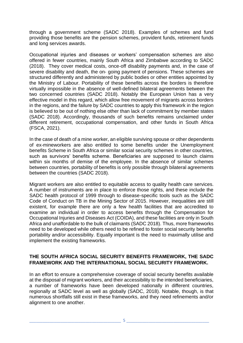through a government scheme (SADC 2018). Examples of schemes and fund providing those benefits are the pension schemes, provident funds, retirement funds and long services awards.

Occupational injuries and diseases or workers' compensation schemes are also offered in fewer countries, mainly South Africa and Zimbabwe according to SADC (2018). They cover medical costs, once‐off disability payments and, in the case of severe disability and death, the on- going payment of pensions. These schemes are structured differently and administered by public bodies or other entities appointed by the Ministry of Labour. Portability of these benefits across the borders is therefore virtually impossible in the absence of well-defined bilateral agreements between the two concerned countries (SADC 2018). Notably the European Union has a very effective model in this regard, which allow free movement of migrants across borders in the regions, and the failure by SADC countries to apply this framework in the region is believed to be out of nothing else other than lack of commitment by member states (SADC 2018). Accordingly, thousands of such benefits remains unclaimed under different retirement, occupational compensation, and other funds in South Africa (FSCA, 2021).

In the case of death of a mine worker, an eligible surviving spouse or other dependents of ex-mineworkers are also entitled to some benefits under the Unemployment benefits Scheme in South Africa or similar social security schemes in other countries, such as survivors' benefits scheme. Beneficiaries are supposed to launch claims within six months of demise of the employee. In the absence of similar schemes between countries, portability of benefits is only possible through bilateral agreements between the countries (SADC 2018).

Migrant workers are also entitled to equitable access to quality health care services. A number of instruments are in place to enforce those rights, and these include the SADC health protocol of 1999 through to disease-specific tools such as the SADC Code of Conduct on TB in the Mining Sector of 2015. However, inequalities are still existent, for example there are only a few health facilities that are accredited to examine an individual in order to access benefits through the Compensation for Occupational Injuries and Diseases Act (COIDA), and these facilities are only in South Africa and unaffordable to the bulk of claimants (SADC 2018). Thus, more frameworks need to be developed while others need to be refined to foster social security benefits portability and/or accessibility. Equally important is the need to maximally utilise and implement the existing frameworks.

#### <span id="page-9-0"></span>**THE SOUTH AFRICA SOCIAL SECURITY BENEFITS FRAMEWORK, THE SADC FRAMEWORK AND THE INTERNATIONAL SOCIAL SECURITY FRAMEWORK.**

In an effort to ensure a comprehensive coverage of social security benefits available at the disposal of migrant workers, and their accessibility to the intended beneficiaries, a number of frameworks have been developed nationally in different countries, regionally at SADC level as well as globally (SADC, 2018). Notable, though, is that numerous shortfalls still exist in these frameworks, and they need refinements and/or alignment to one another.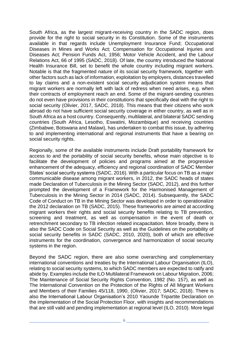South Africa, as the largest migrant-receiving country in the SADC region, does provide for the right to social security in its Constitution. Some of the instruments available in that regards include Unemployment Insurance Fund; Occupational Diseases in Mines and Works Act; Compensation for Occupational Injuries and Diseases Act; Pension Funds Act, 1956; Motor Vehicle Accident, and the Labour Relations Act, 66 of 1995 (SADC, 2018). Of late, the country introduced the National Health Insurance Bill, set to benefit the whole country including migrant workers. Notable is that the fragmented nature of its social security framework, together with other factors such as lack of information, exploitation by employers, distances travelled to lay claims and a non-existent social security adjudication system means that migrant workers are normally left with lack of redress when need arises, e.g. when their contracts of employment reach an end. Some of the migrant-sending countries do not even have provisions in their constitutions that specifically deal with the right to social security (Olivier, 2017, SADC, 2018). This means that their citizens who work abroad do not have sufficient social security coverage in either country, as well as in South Africa as a host country. Consequently, multilateral, and bilateral SADC sending countries (South Africa, Lesotho, Eswatini, Mozambique) and receiving countries (Zimbabwe, Botswana and Malawi), has undertaken to combat this issue, by adhering to and implementing international and regional instruments that have a bearing on social security rights.

Regionally, some of the available instruments include Draft portability framework for access to and the portability of social security benefits, whose main objective is to facilitate the development of policies and programs aimed at the progressive enhancement of the adequacy, efficiency and regional coordination of SADC Member States' social security systems (SADC, 2016). With a particular focus on TB as a major communicable disease among migrant workers, in 2012, the SADC heads of states made Declaration of Tuberculosis in the Mining Sector (SADC, 2012), and this further prompted the development of a Framework for the Harmonised Management of Tuberculosis in the Mining Sector in 2014 (SADC, 2014). Subsequently, the SADC Code of Conduct on TB in the Mining Sector was developed in order to operationalize the 2012 declaration on TB (SADC, 2015). These frameworks are aimed at according migrant workers their rights and social security benefits relating to TB prevention, screening and treatment, as well as compensation in the event of death or retrenchment secondary to TB infection related incapacitation. More broadly, there is also the SADC Code on Social Security as well as the Guidelines on the portability of social security benefits in SADC (SADC, 2010, 2020), both of which are effective instruments for the coordination, convergence and harmonization of social security systems in the region.

Beyond the SADC region, there are also some overarching and complementary international conventions and treaties by the International Labour Organisation (ILO), relating to social security systems, to which SADC members are expected to ratify and abide by. Examples include the ILO Multilateral Framework on Labour Migration, 2006; The Maintenance of Social Security Rights Convention, 1982 (No. 157), as well as The International Convention on the Protection of the Rights of All Migrant Workers and Members of their Families 45/118, 1990, (Olivier, 2017; SADC, 2018). There is also the International Labour Organisation's 2010 Yaounde Tripartite Declaration on the implementation of the Social Protection Floor, with insights and recommendations that are still valid and pending implementation at regional level (ILO, 2010). More legal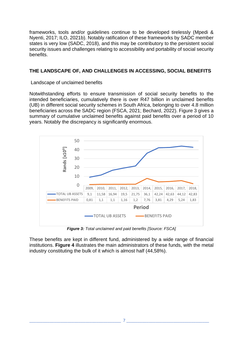frameworks, tools and/or guidelines continue to be developed tirelessly (Mpedi & Nyenti, 2017; ILO, 2021b). Notably ratification of these frameworks by SADC member states is very low (SADC, 2018), and this may be contributory to the persistent social security issues and challenges relating to accessibility and portability of social security benefits.

#### <span id="page-11-0"></span>**THE LANDSCAPE OF, AND CHALLENGES IN ACCESSING, SOCIAL BENEFITS**

Landscape of unclaimed benefits

Notwithstanding efforts to ensure transmission of social security benefits to the intended beneficiaries, cumulatively there is over R47 billion in unclaimed benefits (UB) in different social security schemes in South Africa, belonging to over 4.8 million beneficiaries across the SADC region (FSCA, 2021; Bechard, 2022). Figure 3 gives a summary of cumulative unclaimed benefits against paid benefits over a period of 10 years. Notably the discrepancy is significantly enormous.



*Figure 3: Total unclaimed and paid benefits [Source: FSCA]*

These benefits are kept in different fund, administered by a wide range of financial institutions. **Figure 4** illustrates the main administrators of these funds, with the metal industry constituting the bulk of it which is almost half (44,58%).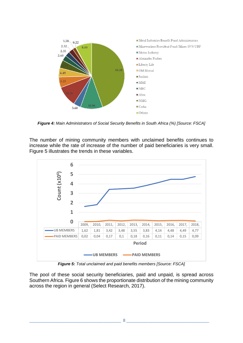

*Figure 4: Main Administrators of Social Security Benefits in South Africa (%) [Source: FSCA]*

The number of mining community members with unclaimed benefits continues to increase while the rate of increase of the number of paid beneficiaries is very small. Figure 5 illustrates the trends in these variables.



*Figure 5: Total unclaimed and paid benefits members [Source: FSCA]*

The pool of these social security beneficiaries, paid and unpaid, is spread across Southern Africa. Figure 6 shows the proportionate distribution of the mining community across the region in general (Select Research, 2017).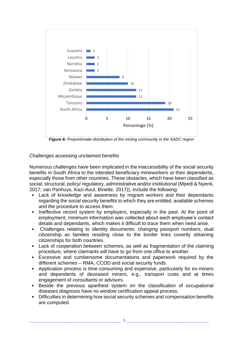

*Figure 6: Proportionate distribution of the mining community in the SADC region*

Challenges accessing unclaimed benefits

Numerous challenges have been implicated in the inaccessibility of the social security benefits in South Africa to the intended beneficiary mineworkers or their dependents, especially those from other countries. These obstacles, which have been classified as social, structural, policy/ regulatory, administrative and/or institutional (Mpedi & Nyenti, 2017; van Panhuys, Kazi-Aoul, Binette, 2017)), include the following:

- Lack of knowledge and awareness by migrant workers and their dependants regarding the social security benefits to which they are entitled, available schemes and the procedure to access them.
- Ineffective record system by employers, especially in the past. At the point of employment, minimum information was collected about each employee's contact details and dependants, which makes it difficult to trace them when need arise.
- Challenges relating to identity documents: changing passport numbers, dual citizenship as families residing close to the border lines covertly obtaining citizenships for both countries.
- Lack of cooperation between schemes, as well as fragmentation of the claiming procedure, where claimants will have to go from one office to another.
- Excessive and cumbersome documentations and paperwork required by the different schemes – RMA, CCOD and social security funds.
- Application process is time-consuming and expensive, particularly for ex-miners and dependents of deceased miners, e.g., transport costs and at times engagement of consultants or advisors.
- Beside the previous apartheid system on the classification of occupational diseases diagnosis have no window certification appeal process.
- Difficulties in determining how social security schemes and compensation benefits are computed.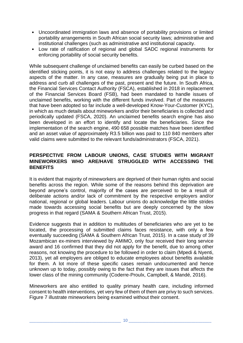- Uncoordinated immigration laws and absence of portability provisions or limited portability arrangements in South African social security laws; administrative and institutional challenges (such as administrative and institutional capacity.
- Low rate of ratification of regional and global SADC regional instruments for enforcing portability of social security benefits.

While subsequent challenge of unclaimed benefits can easily be curbed based on the identified sticking points, it is not easy to address challenges related to the legacy aspects of the matter. In any case, measures are gradually being put in place to address and curb all challenges of the past, present and the future. In South Africa, the Financial Services Contact Authority (FSCA), established in 2018 in replacement of the Financial Services Board (FSB), had been mandated to handle issues of unclaimed benefits, working with the different funds involved. Part of the measures that have been adopted so far include a well-developed Know-Your-Customer (KYC), in which as much details about mineworkers and/or their beneficiaries is collected and periodically updated (FSCA, 2020). An unclaimed benefits search engine has also been developed in an effort to identify and locate the beneficiaries. Since the implementation of the search engine, 490 658 possible matches have been identified and an asset value of approximately R3.5 billion was paid to 110 840 members after valid claims were submitted to the relevant funds/administrators (FSCA, 2021).

#### <span id="page-14-0"></span>**PERSPECTIVE FROM LABOUR UNIONS, CASE STUDIES WITH MIGRANT MINEWORKERS WHO ARE/HAVE STRUGGLED WITH ACCESSING THE BENEFITS**

It is evident that majority of mineworkers are deprived of their human rights and social benefits across the region. While some of the reasons behind this deprivation are beyond anyone's control, majority of the cases are perceived to be a result of deliberate actions and/or lack of commitment by the respective employers and/or national, regional or global leaders. Labour unions do acknowledge the little strides made towards accessing social benefits but are deeply concerned by the slow progress in that regard (SAMA & Southern African Trust, 2015).

Evidence suggests that in addition to multitudes of beneficiaries who are yet to be located, the processing of submitted claims faces resistance, with only a few eventually succeeding (SAMA & Southern African Trust, 2015). In a case study of 39 Mozambican ex‐miners interviewed by AMIMO, only four received their long service award and 16 confirmed that they did not apply for the benefit, due to among other reasons, not knowing the procedure to be followed in order to claim (Mpedi & Nyenti, 2013), yet all employers are obliged to educate employees about benefits available for them. A lot more of these specific cases remain undocumented and hence unknown up to today, possibly owing to the fact that they are issues that affects the lower class of the mining community (Coderre-Proulx, Campbell, & Mandé, 2016).

Mineworkers are also entitled to quality primary health care, including informed consent to health interventions, yet very few of them of them are privy to such services. Figure 7 illustrate mineworkers being examined without their consent.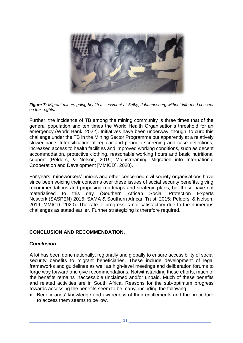

*Figure 7: Migrant miners going health assessment at Selby, Johannesburg without informed consent on their rights.*

Further, the incidence of TB among the mining community is three times that of the general population and ten times the World Health Organisation's threshold for an emergency (World Bank. 2022). Initiatives have been underway, though, to curb this challenge under the TB in the Mining Sector Programme but apparently at a relatively slower pace. Intensification of regular and periodic screening and case detections, increased access to health facilities and improved working conditions, such as decent accommodation, protective clothing, reasonable working hours and basic nutritional support (Pelders, & Nelson, 2019; Mainstreaming Migration into International Cooperation and Development [MMICD], 2020).

For years, mineworkers' unions and other concerned civil society organisations have since been voicing their concerns over these issues of social security benefits, giving recommendations and proposing roadmaps and strategic plans, but these have not materialised to this day (Southern African Social Protection Experts Network (SASPEN) 2015; SAMA & Southern African Trust, 2015; Pelders, & Nelson, 2019; MMICD, 2020). The rate of progress is not satisfactory due to the numerous challenges as stated earlier. Further strategizing is therefore required.

#### <span id="page-15-0"></span>**CONCLUSION AND RECOMMENDATION.**

#### *Conclusion*

A lot has been done nationally, regionally and globally to ensure accessibility of social security benefits to migrant beneficiaries. These include development of legal frameworks and guidelines as well as high-level meetings and deliberation forums to forge way forward and give recommendations. Notwithstanding these efforts, much of the benefits remains inaccessible unclaimed and/or unpaid. Much of these benefits and related activities are in South Africa. Reasons for the sub-optimum progress towards accessing the benefits seem to be many, including the following:

• Beneficiaries' knowledge and awareness of their entitlements and the procedure to access them seems to be low.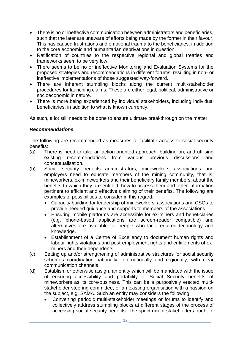- There is no or ineffective communication between administrators and beneficiaries, such that the later are unaware of efforts being made by the former in their favour. This has caused frustrations and emotional trauma to the beneficiaries, in addition to the core economic and humanitarian deprivations in question.
- Ratification of countries to the respective regional and global treaties and frameworks seem to be very low.
- There seems to be no or ineffective Monitoring and Evaluation Systems for the proposed strategies and recommendations in different forums, resulting in non- or ineffective implementations of those suggested way-forward.
- There are inherent stumbling blocks along the current multi-stakeholder procedures for launching claims. These are either legal, political, administrative or socioeconomic in nature.
- There is more being experienced by individual stakeholders, including individual beneficiaries, in addition to what is known currently.

As such, a lot still needs to be done to ensure ultimate breakthrough on the matter.

#### *Recommendations*

The following are recommended as measures to facilitate access to social security benefits:

- (a) There is need to take an action-oriented approach, building on, and utilising existing recommendations from various previous discussions and conceptualisation.
- (b) Social security benefits administrators, mineworkers associations and employers need to educate members of the mining community, that is, mineworkers, ex-mineworkers and their beneficiary family members, about the benefits to which they are entitled, how to access them and other information pertinent to efficient and effective claiming of their benefits. The following are examples of possibilities to consider in this regard:
	- Capacity building for leadership of mineworkers' associations and CSOs to provide needed guidance and supports to members of the associations.
	- Ensuring mobile platforms are accessible for ex-miners and beneficiaries (e.g. phone-based applications are screen-reader compatible) and alternatives are available for people who lack required technology and knowledge.
	- Establishment of a Centre of Excellency to document human rights and labour rights violations and post-employment rights and entitlements of exminers and their dependents.
- (c) Setting up and/or strengthening of administrative structures for social security schemes coordination nationally, internationally and regionally, with clear communication channels.
- (d) Establish, or otherwise assign, an entity which will be mandated with the issue of ensuring accessibility and portability of Social Security benefits of mineworkers as its core-business. This can be a purposively erected multistakeholder steering committee, or an existing organisation with a passion on the subject, e.g. SAMA. Such an entity may considers the following:
	- Convening periodic multi-stakeholder meetings or forums to identify and collectively address stumbling blocks at different stages of the process of accessing social security benefits. The spectrum of stakeholders ought to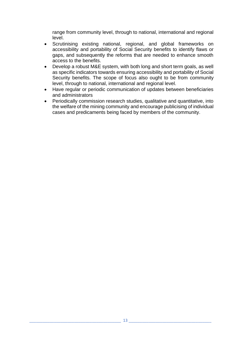range from community level, through to national, international and regional level.

- Scrutinising existing national, regional, and global frameworks on accessibility and portability of Social Security benefits to identify flaws or gaps, and subsequently the reforms that are needed to enhance smooth access to the benefits.
- Develop a robust M&E system, with both long and short term goals, as well as specific indicators towards ensuring accessibility and portability of Social Security benefits. The scope of focus also ought to be from community level, through to national, international and regional level.
- Have regular or periodic communication of updates between beneficiaries and administrators
- Periodically commission research studies, qualitative and quantitative, into the welfare of the mining community and encourage publicising of individual cases and predicaments being faced by members of the community.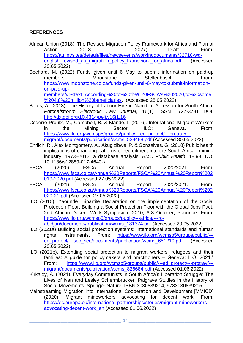### <span id="page-18-0"></span>**REFERENCES**

- African Union (2018). The Revised Migration Policy Framework for Africa and Plan of Action (2018 – 2027) Draft. From: [https://au.int/sites/default/files/newsevents/workingdocuments/32718-wd](https://au.int/sites/default/files/newsevents/workingdocuments/32718-wd-english_revised_au_migration_policy_framework_for_africa.pdf)english revised au migration policy framework for africa.pdf (Accessed 30.05.2022)
- Bechard, M. (2022) Funds given until 6 May to submit information on paid-up members. Moonstone: Stellenbosch. From: [https://www.moonstone.co.za/funds-given-until-6-may-to-submit-information](https://www.moonstone.co.za/funds-given-until-6-may-to-submit-information-on-paid-up-members/#:~:text=According%20to%20the%20FSCA)[on-paid-up](https://www.moonstone.co.za/funds-given-until-6-may-to-submit-information-on-paid-up-members/#:~:text=According%20to%20the%20FSCA)[members/#:~:text=According%20to%20the%20FSCA's%202020,to%20some](https://www.moonstone.co.za/funds-given-until-6-may-to-submit-information-on-paid-up-members/#:~:text=According%20to%20the%20FSCA) [%204.8%20million%20beneficiaries.](https://www.moonstone.co.za/funds-given-until-6-may-to-submit-information-on-paid-up-members/#:~:text=According%20to%20the%20FSCA) (Accessed 28.05.2022)
- Botes, A. (2013). The History of Labour Hire in Namibia: A Lesson for South Africa. *Potchefstroom Electronic Law Journal,* 16(1). ISSN 1727-3781 DOI: <http://dx.doi.org/10.4314/pelj.v16i1.16>
- Coderre-Proulx, M., Campbell, B. & Mandé, I. (2016). International Migrant Workers in the Mining Sector. ILO: Geneva. From: [https://www.ilo.org/wcmsp5/groups/public/---ed\\_protect/---protrav/--](https://www.ilo.org/wcmsp5/groups/public/---ed_protect/---protrav/---migrant/documents/publication/wcms_538488.pdf) [migrant/documents/publication/wcms\\_538488.pdf](https://www.ilo.org/wcmsp5/groups/public/---ed_protect/---protrav/---migrant/documents/publication/wcms_538488.pdf) (Accessed 30.05.2022)
- Ehrlich, R., Alex Montgomery, A., Akugizibwe, P. & Gonsalves, G. (2018) Public health implications of changing patterns of recruitment into the South African mining industry, 1973–2012: a database analysis. *BMC Public Health*, 18:93. DOI 10.1186/s12889-017-4640-x
- FSCA (2020). FSCA Annual Report 2020/2021. From: [https://www.fsca.co.za/Annual%20Reports/FSCA%20Annual%20Report%202](https://www.fsca.co.za/Annual%20Reports/FSCA%20Annual%20Report%202019-2020.pdf) [019-2020.pdf](https://www.fsca.co.za/Annual%20Reports/FSCA%20Annual%20Report%202019-2020.pdf) (Accessed 27.05.2022)
- FSCA (2021). FSCA Annual Report 2020/2021. From: [https://www.fsca.co.za/Annual%20Reports/FSCA%20Annual%20Report%202](https://www.fsca.co.za/Annual%20Reports/FSCA%20Annual%20Report%202020-21.pdf) [020-21.pdf](https://www.fsca.co.za/Annual%20Reports/FSCA%20Annual%20Report%202020-21.pdf) (Accessed 27.05.2022)
- ILO (2010). Yaounde Tripartite Declaration on the implementation of the Social Protection Floor. Building a Social Protection Floor with the Global Jobs Pact. 2nd African Decent Work Symposium 2010, 6-8 October, Yaounde. From: [https://www.ilo.org/wcmsp5/groups/public/---africa/---ro](https://www.ilo.org/wcmsp5/groups/public/---africa/---ro-abidjan/documents/publication/wcms_181374.pdf)[abidjan/documents/publication/wcms\\_181374.pdf](https://www.ilo.org/wcmsp5/groups/public/---africa/---ro-abidjan/documents/publication/wcms_181374.pdf) (Accessed 20.05.2022)
- ILO (2021a) Building social protection systems: International standards and human rights instruments. From: [https://www.ilo.org/wcmsp5/groups/public/--](https://www.ilo.org/wcmsp5/groups/public/---ed_protect/---soc_sec/documents/publication/wcms_651219.pdf) [ed\\_protect/---soc\\_sec/documents/publication/wcms\\_651219.pdf](https://www.ilo.org/wcmsp5/groups/public/---ed_protect/---soc_sec/documents/publication/wcms_651219.pdf) (Accessed 20.05.2022)
- ILO (2021b). Extending social protection to migrant workers, refugees and their families: A guide for policymakers and practitioners – Geneva: ILO, 2021." From: [https://www.ilo.org/wcmsp5/groups/public/---ed\\_protect/---protrav/--](https://www.ilo.org/wcmsp5/groups/public/---ed_protect/---protrav/---migrant/documents/publication/wcms_826684.pdf) [migrant/documents/publication/wcms\\_826684.pdf](https://www.ilo.org/wcmsp5/groups/public/---ed_protect/---protrav/---migrant/documents/publication/wcms_826684.pdf) (Accessed 01.06.2022)
- Kirkaldy, A. (2021). Everyday Communists in South Africa's Liberation Struggle: The Lives of Ivan and Lesley Schermbrucker. Palgrave Studies in the History of Social Movements. Springer Nature: ISBN 3030839214, 9783030839215
- Mainstreaming Migration into International Cooperation and Development [MMICD] (2020). Migrant mineworkers advocating for decent work. From: [https://ec.europa.eu/international-partnerships/stories/migrant-mineworkers](https://ec.europa.eu/international-partnerships/stories/migrant-mineworkers-advocating-decent-work_en)[advocating-decent-work\\_en](https://ec.europa.eu/international-partnerships/stories/migrant-mineworkers-advocating-decent-work_en) (Accessed 01.06.2022)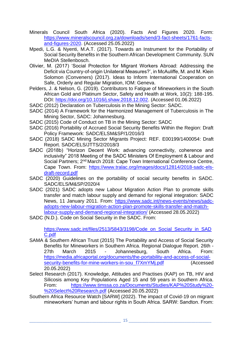- Minerals Council South Africa (2020). Facts And Figures 2020. Form: [https://www.mineralscouncil.org.za/downloads/send/3-fact-sheets/1761-facts](https://www.mineralscouncil.org.za/downloads/send/3-fact-sheets/1761-facts-and-figures-2020)[and-figures-2020.](https://www.mineralscouncil.org.za/downloads/send/3-fact-sheets/1761-facts-and-figures-2020) (Accessed 25.05.2022)
- Mpedi, L.G. & Nyenti, M.A.T. (2017). Towards an Instrument for the Portability of Social Security Benefits in the Southern African Development Community. SUN MeDIA Stellenbosch.
- Olivier, M. (2017) 'Social Protection for Migrant Workers Abroad: Addressing the Deficit via Country-of-origin Unilateral Measures?', in McAuliffe, M. and M. Klein Solomon (Conveners) (2017). Ideas to Inform International Cooperation on Safe, Orderly and Regular Migration, IOM: Geneva.
- Pelders, J. & Nelson, G. (2019). Contributors to Fatigue of Mineworkers in the South African Gold and Platinum Sector, Safety and Health at Work, 10(2): 188-195. DOI: [https://doi.org/10.1016/j.shaw.2018.12.002.](https://doi.org/10.1016/j.shaw.2018.12.002) (Accessed 01.06.2022)
- SADC (2012) Declaration on Tuberculosis in the Mining Sector: SADC.
- SADC (2014) A Framework for the Harmonized Management of Tuberculosis in The Mining Sector, SADC: Johannesburg.
- SADC (2015) Code of Conduct on TB in the Mining Sector: SADC
- SADC (2016) Portability of Accrued Social Security Benefits Within the Region: Draft Policy Framework: SADC/ELSM&SP/1/2016/3
- SADC (2018) SADC Mining Sector Migrants Project: REF. E00199/1400054: Draft Report. SADC/ELS/JTTS/2/2018/3
- SADC (2018b) "Horizon Decent Work: advancing connectivity, coherence and inclusivity" 2018 Meeting of the SADC Ministers Of Employment & Labour and Social Partners; 2<sup>nd</sup> March 2018: Cape Town International Conference Centre, Cape Town. From: [https://www.tralac.org/images/docs/12814/2018-sadc-els](https://www.tralac.org/images/docs/12814/2018-sadc-els-draft-record.pdf)[draft-record.pdf](https://www.tralac.org/images/docs/12814/2018-sadc-els-draft-record.pdf)
- SADC (2020) Guidelines on the portability of social security benefits in SADC. SADC/ELS/M&SP/2020/4
- SADC (2021) SADC adopts new Labour Migration Action Plan to promote skills transfer and match labour supply and demand for regional integration: SADC News, 11 January 2011. From: [https://www.sadc.int/news-events/news/sadc](https://www.sadc.int/news-events/news/sadc-adopts-new-labour-migration-action-plan-promote-skills-transfer-and-match-labour-supply-and-demand-regional-integration/)[adopts-new-labour-migration-action-plan-promote-skills-transfer-and-match](https://www.sadc.int/news-events/news/sadc-adopts-new-labour-migration-action-plan-promote-skills-transfer-and-match-labour-supply-and-demand-regional-integration/)[labour-supply-and-demand-regional-integration/](https://www.sadc.int/news-events/news/sadc-adopts-new-labour-migration-action-plan-promote-skills-transfer-and-match-labour-supply-and-demand-regional-integration/) (Accessed 28.05.2022)
- SADC (N.D.). Code on Social Security in the SADC. From:

[https://www.sadc.int/files/2513/5843/3198/Code\\_on\\_Social\\_Security\\_in\\_SAD](https://www.sadc.int/files/2513/5843/3198/Code_on_Social_Security_in_SADC.pdf) [C.pdf](https://www.sadc.int/files/2513/5843/3198/Code_on_Social_Security_in_SADC.pdf)

- SAMA & Southern African Trust (2015) The Portability and Access of Social Security Benefits for Mineworkers in Southern Africa. Regional Dialogue Report. 26th - 27th March 2015 - Johannesburg, South Africa. From: [https://media.africaportal.org/documents/the-portability-and-access-of-social](https://media.africaportal.org/documents/the-portability-and-access-of-social-security-benefits-for-mine-workers-in-sou_f7XmYMj.pdf)[security-benefits-for-mine-workers-in-sou\\_f7XmYMj.pdf](https://media.africaportal.org/documents/the-portability-and-access-of-social-security-benefits-for-mine-workers-in-sou_f7XmYMj.pdf) (Accessed 20.05.2022)
- Select Research (2017). Knowledge, Attitudes and Practises (KAP) on TB, HIV and Silicosis among Key Populations Aged 15 and 59 years in Southern Africa. From: [https://www.timssa.co.za/Documents/Studies/KAP%20Study%20-](https://www.timssa.co.za/Documents/Studies/KAP%20Study%20-%20Select%20Research.pdf) [%20Select%20Research.pdf](https://www.timssa.co.za/Documents/Studies/KAP%20Study%20-%20Select%20Research.pdf) (Accessed 20.05.2022)
- Southern Africa Resource Watch [SARW] (2022). The impact of Covid-19 on migrant mineworkers' human and labour rights in South Africa. SARW: Sandton. From: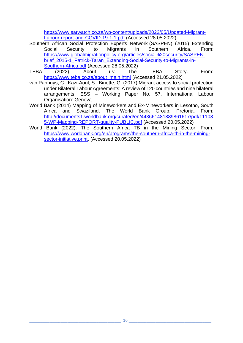[https://www.sarwatch.co.za/wp-content/uploads/2022/05/Updated-Migrant-](https://www.sarwatch.co.za/wp-content/uploads/2022/05/Updated-Migrant-Labour-report-and-COVID-19-1-1.pdf)[Labour-report-and-COVID-19-1-1.pdf](https://www.sarwatch.co.za/wp-content/uploads/2022/05/Updated-Migrant-Labour-report-and-COVID-19-1-1.pdf) (Accessed 28.05.2022)

- Southern African Social Protection Experts Network (SASPEN) (2015) Extending Social Security to Migrants in Southern Africa. From: [https://www.globalmigrationpolicy.org/articles/social%20security/SASPEN](https://www.globalmigrationpolicy.org/articles/social%20security/SASPEN-brief_2015-1_Patrick-Taran_Extending-Social-Security-to-Migrants-in-Southern-Africa.pdf)brief 2015-1 Patrick-Taran Extending-Social-Security-to-Migrants-in-[Southern-Africa.pdf](https://www.globalmigrationpolicy.org/articles/social%20security/SASPEN-brief_2015-1_Patrick-Taran_Extending-Social-Security-to-Migrants-in-Southern-Africa.pdf) (Accessed 28.05.2022)
- TEBA (2022). About us: The TEBA Story. From: [https://www.teba.co.za/about\\_main.html](https://www.teba.co.za/about_main.html) (Accessed 21.05.2022)
- van Panhuys, C., Kazi-Aoul, S., Binette, G. (2017) Migrant access to social protection under Bilateral Labour Agreements: A review of 120 countries and nine bilateral arrangements. ESS – Working Paper No. 57. International Labour Organisation: Geneva
- World Bank (2014) Mapping of Mineworkers and Ex-Mineworkers in Lesotho, South Africa and Swaziland. The World Bank Group: Pretoria. From: [http://documents1.worldbank.org/curated/en/443661481889861617/pdf/11108](http://documents1.worldbank.org/curated/en/443661481889861617/pdf/111085-WP-Mapping-REPORT-quality-PUBLIC.pdf) [5-WP-Mapping-REPORT-quality-PUBLIC.pdf](http://documents1.worldbank.org/curated/en/443661481889861617/pdf/111085-WP-Mapping-REPORT-quality-PUBLIC.pdf) (Accessed 20.05.2022)
- World Bank (2022). The Southern Africa TB in the Mining Sector. From: [https://www.worldbank.org/en/programs/the-southern-africa-tb-in-the-mining](https://www.worldbank.org/en/programs/the-southern-africa-tb-in-the-mining-sector-initiative.print)[sector-initiative.print.](https://www.worldbank.org/en/programs/the-southern-africa-tb-in-the-mining-sector-initiative.print) (Accessed 20.05.2022)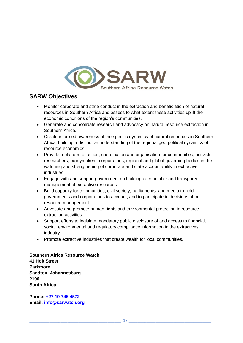

## **SARW Objectives**

- Monitor corporate and state conduct in the extraction and beneficiation of natural resources in Southern Africa and assess to what extent these activities uplift the economic conditions of the region's communities.
- Generate and consolidate research and advocacy on natural resource extraction in Southern Africa.
- Create informed awareness of the specific dynamics of natural resources in Southern Africa, building a distinctive understanding of the regional geo-political dynamics of resource economics.
- Provide a platform of action, coordination and organisation for communities, activists, researchers, policymakers, corporations, regional and global governing bodies in the watching and strengthening of corporate and state accountability in extractive industries.
- Engage with and support government on building accountable and transparent management of extractive resources.
- Build capacity for communities, civil society, parliaments, and media to hold governments and corporations to account, and to participate in decisions about resource management.
- Advocate and promote human rights and environmental protection in resource extraction activities.
- Support efforts to legislate mandatory public disclosure of and access to financial, social, environmental and regulatory compliance information in the extractives industry.
- Promote extractive industries that create wealth for local communities.

**Southern Africa Resource Watch 41 Holt Street Parkmore Sandton, Johannesburg 2196 South Africa**

**Phone: [+27 10 745 4572](tel:+27%20107454572) Email: [info@sarwatch.org](mailto:info@sarwatch.org)**